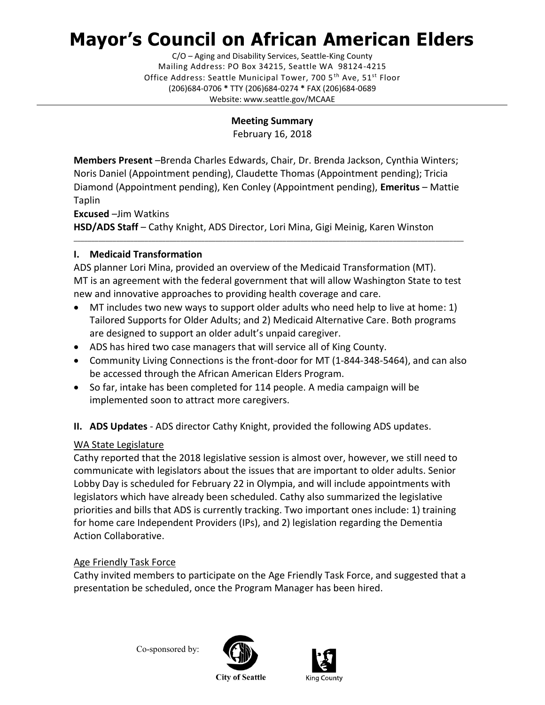# **Mayor's Council on African American Elders**

C/O – Aging and Disability Services, Seattle-King County Mailing Address: PO Box 34215, Seattle WA 98124-4215 Office Address: Seattle Municipal Tower, 700 5<sup>th</sup> Ave, 51<sup>st</sup> Floor (206)684-0706 **\*** TTY (206)684-0274 **\*** FAX (206)684-0689 Website: www.seattle.gov/MCAAE

**Meeting Summary**

February 16, 2018

**Members Present** –Brenda Charles Edwards, Chair, Dr. Brenda Jackson, Cynthia Winters; Noris Daniel (Appointment pending), Claudette Thomas (Appointment pending); Tricia Diamond (Appointment pending), Ken Conley (Appointment pending), **Emeritus** – Mattie Taplin

**Excused** –Jim Watkins **HSD/ADS Staff** – Cathy Knight, ADS Director, Lori Mina, Gigi Meinig, Karen Winston

# **I. Medicaid Transformation**

ADS planner Lori Mina, provided an overview of the Medicaid Transformation (MT). MT is an agreement with the federal government that will allow Washington State to test new and innovative approaches to providing health coverage and care.

\_\_\_\_\_\_\_\_\_\_\_\_\_\_\_\_\_\_\_\_\_\_\_\_\_\_\_\_\_\_\_\_\_\_\_\_\_\_\_\_\_\_\_\_\_\_\_\_\_\_\_\_\_\_\_\_\_\_\_\_\_\_\_\_\_\_\_\_\_\_\_\_\_\_\_\_\_\_\_\_\_\_\_\_\_\_\_\_\_\_\_\_\_\_\_\_\_\_\_\_\_\_\_\_\_\_\_\_\_\_

- MT includes two new ways to support older adults who need help to live at home: 1) Tailored Supports for Older Adults; and 2) Medicaid Alternative Care. Both programs are designed to support an older adult's unpaid caregiver.
- ADS has hired two case managers that will service all of King County.
- Community Living Connections is the front-door for MT (1-844-348-5464), and can also be accessed through the African American Elders Program.
- So far, intake has been completed for 114 people. A media campaign will be implemented soon to attract more caregivers.
- **II. ADS Updates** ADS director Cathy Knight, provided the following ADS updates.

# WA State Legislature

Cathy reported that the 2018 legislative session is almost over, however, we still need to communicate with legislators about the issues that are important to older adults. Senior Lobby Day is scheduled for February 22 in Olympia, and will include appointments with legislators which have already been scheduled. Cathy also summarized the legislative priorities and bills that ADS is currently tracking. Two important ones include: 1) training for home care Independent Providers (IPs), and 2) legislation regarding the Dementia Action Collaborative.

# Age Friendly Task Force

Cathy invited members to participate on the Age Friendly Task Force, and suggested that a presentation be scheduled, once the Program Manager has been hired.

Co-sponsored by:





**City of Seattle**